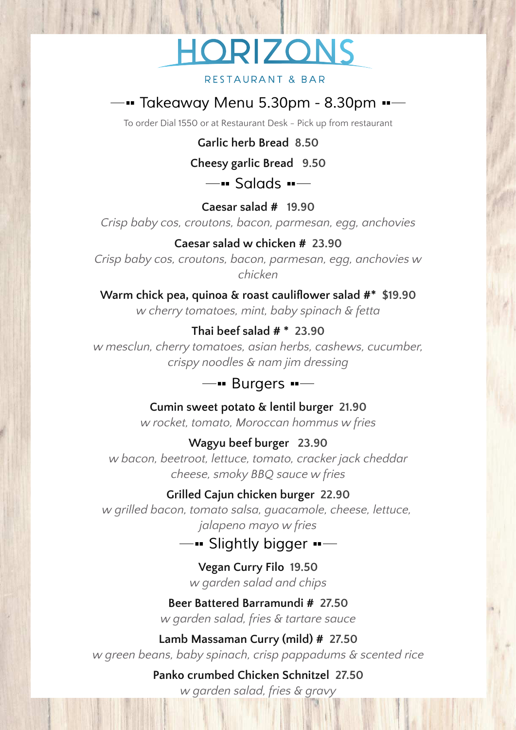# HORIZONS

#### **RESTAURANT & BAR**

# *Takeaway Menu 5.30pm - 8.30pm*

To order Dial 1550 or at Restaurant Desk - Pick up from restaurant

**Garlic herb Bread 8.50**

**Cheesy garlic Bread 9.50**

*Salads*

**Caesar salad # 19.90**

*Crisp baby cos, croutons, bacon, parmesan, egg, anchovies*

#### **Caesar salad w chicken # 23.90**

*Crisp baby cos, croutons, bacon, parmesan, egg, anchovies w chicken*

**Warm chick pea, quinoa & roast cauliflower salad #\* \$19.90** *w cherry tomatoes, mint, baby spinach & fetta*

#### **Thai beef salad # \* 23.90**

*w mesclun, cherry tomatoes, asian herbs, cashews, cucumber, crispy noodles & nam jim dressing*

## *Burgers*

**Cumin sweet potato & lentil burger 21.90**

*w rocket, tomato, Moroccan hommus w fries*

#### **Wagyu beef burger 23.90**

*w bacon, beetroot, lettuce, tomato, cracker jack cheddar cheese, smoky BBQ sauce w fries*

#### **Grilled Cajun chicken burger 22.90**

*w grilled bacon, tomato salsa, guacamole, cheese, lettuce, jalapeno mayo w fries*

*Slightly bigger*

**Vegan Curry Filo 19.50** *w garden salad and chips*

### **Beer Battered Barramundi # 27.50** *w garden salad, fries & tartare sauce*

**Lamb Massaman Curry (mild) # 27.50** *w green beans, baby spinach, crisp pappadums & scented rice*

**Panko crumbed Chicken Schnitzel 27.50**

*w garden salad, fries & gravy*